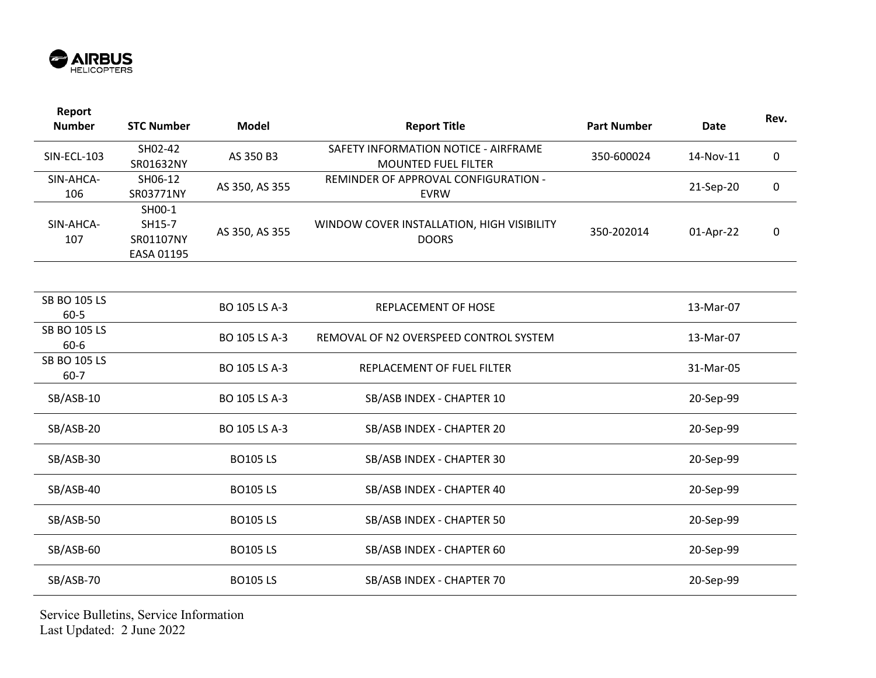

| Report<br><b>Number</b>         | <b>STC Number</b>                           | <b>Model</b>   | <b>Report Title</b>                                                | <b>Part Number</b> | <b>Date</b> | Rev. |
|---------------------------------|---------------------------------------------|----------------|--------------------------------------------------------------------|--------------------|-------------|------|
| <b>SIN-ECL-103</b>              | SH02-42<br>SR01632NY                        | AS 350 B3      | SAFETY INFORMATION NOTICE - AIRFRAME<br><b>MOUNTED FUEL FILTER</b> | 350-600024         | 14-Nov-11   | 0    |
| SIN-AHCA-<br>106                | SH06-12<br>SR03771NY                        | AS 350, AS 355 | REMINDER OF APPROVAL CONFIGURATION -<br><b>EVRW</b>                |                    | 21-Sep-20   | 0    |
| SIN-AHCA-<br>107                | SH00-1<br>SH15-7<br>SR01107NY<br>EASA 01195 | AS 350, AS 355 | WINDOW COVER INSTALLATION, HIGH VISIBILITY<br><b>DOORS</b>         | 350-202014         | 01-Apr-22   | 0    |
|                                 |                                             |                |                                                                    |                    |             |      |
| <b>SB BO 105 LS</b><br>60-5     |                                             | BO 105 LS A-3  | REPLACEMENT OF HOSE                                                |                    | 13-Mar-07   |      |
| <b>SB BO 105 LS</b><br>$60 - 6$ |                                             | BO 105 LS A-3  | REMOVAL OF N2 OVERSPEED CONTROL SYSTEM                             |                    | 13-Mar-07   |      |
| <b>SB BO 105 LS</b><br>$60 - 7$ |                                             | BO 105 LS A-3  | REPLACEMENT OF FUEL FILTER                                         |                    | 31-Mar-05   |      |
| SB/ASB-10                       |                                             | BO 105 LS A-3  | SB/ASB INDEX - CHAPTER 10                                          |                    | 20-Sep-99   |      |
| SB/ASB-20                       |                                             | BO 105 LS A-3  | SB/ASB INDEX - CHAPTER 20                                          |                    | 20-Sep-99   |      |
| SB/ASB-30                       |                                             | <b>BO105LS</b> | SB/ASB INDEX - CHAPTER 30                                          |                    | 20-Sep-99   |      |
| SB/ASB-40                       |                                             | <b>BO105LS</b> | SB/ASB INDEX - CHAPTER 40                                          |                    | 20-Sep-99   |      |
| SB/ASB-50                       |                                             | <b>BO105LS</b> | SB/ASB INDEX - CHAPTER 50                                          |                    | 20-Sep-99   |      |
| SB/ASB-60                       |                                             | <b>BO105LS</b> | SB/ASB INDEX - CHAPTER 60                                          |                    | 20-Sep-99   |      |
| SB/ASB-70                       |                                             | <b>BO105LS</b> | SB/ASB INDEX - CHAPTER 70                                          |                    | 20-Sep-99   |      |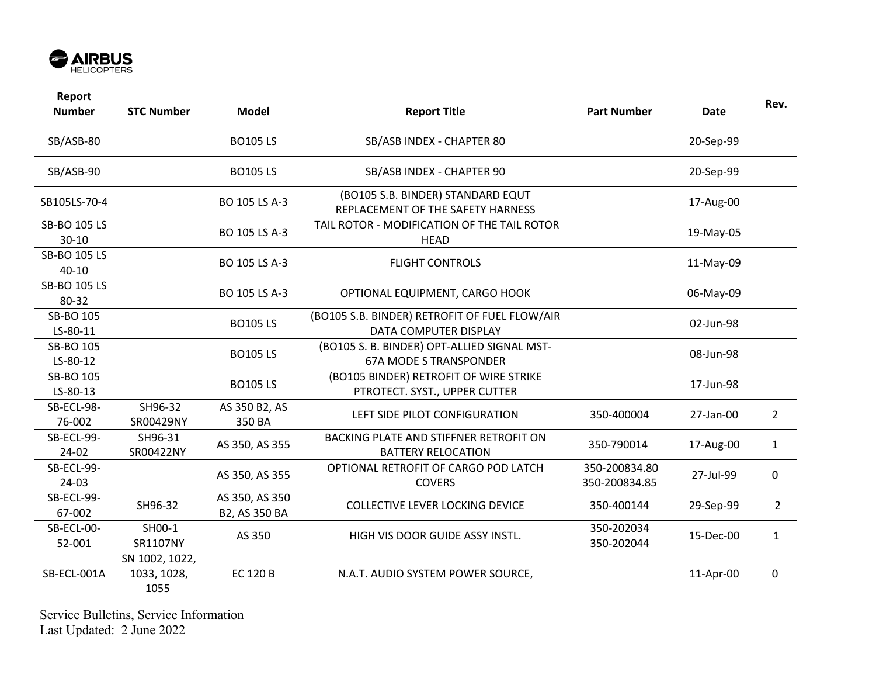

| Report<br><b>Number</b>   | <b>STC Number</b>                     | <b>Model</b>                    | <b>Report Title</b>                                                          | <b>Part Number</b>             | <b>Date</b> | Rev.           |
|---------------------------|---------------------------------------|---------------------------------|------------------------------------------------------------------------------|--------------------------------|-------------|----------------|
| SB/ASB-80                 |                                       | <b>BO105LS</b>                  | SB/ASB INDEX - CHAPTER 80                                                    |                                | 20-Sep-99   |                |
| SB/ASB-90                 |                                       | <b>BO105LS</b>                  | SB/ASB INDEX - CHAPTER 90                                                    |                                | 20-Sep-99   |                |
| SB105LS-70-4              |                                       | BO 105 LS A-3                   | (BO105 S.B. BINDER) STANDARD EQUT<br>REPLACEMENT OF THE SAFETY HARNESS       |                                | 17-Aug-00   |                |
| SB-BO 105 LS<br>$30 - 10$ |                                       | BO 105 LS A-3                   | TAIL ROTOR - MODIFICATION OF THE TAIL ROTOR<br><b>HEAD</b>                   |                                | 19-May-05   |                |
| SB-BO 105 LS<br>$40 - 10$ |                                       | BO 105 LS A-3                   | <b>FLIGHT CONTROLS</b>                                                       |                                | 11-May-09   |                |
| SB-BO 105 LS<br>80-32     |                                       | BO 105 LS A-3                   | OPTIONAL EQUIPMENT, CARGO HOOK                                               |                                | 06-May-09   |                |
| SB-BO 105<br>LS-80-11     |                                       | <b>BO105LS</b>                  | (BO105 S.B. BINDER) RETROFIT OF FUEL FLOW/AIR<br>DATA COMPUTER DISPLAY       |                                | 02-Jun-98   |                |
| SB-BO 105<br>LS-80-12     |                                       | <b>BO105LS</b>                  | (BO105 S. B. BINDER) OPT-ALLIED SIGNAL MST-<br><b>67A MODE S TRANSPONDER</b> |                                | 08-Jun-98   |                |
| SB-BO 105<br>LS-80-13     |                                       | <b>BO105LS</b>                  | (BO105 BINDER) RETROFIT OF WIRE STRIKE<br>PTROTECT. SYST., UPPER CUTTER      |                                | 17-Jun-98   |                |
| SB-ECL-98-<br>76-002      | SH96-32<br>SR00429NY                  | AS 350 B2, AS<br>350 BA         | LEFT SIDE PILOT CONFIGURATION                                                | 350-400004                     | 27-Jan-00   | $\overline{2}$ |
| SB-ECL-99-<br>24-02       | SH96-31<br>SR00422NY                  | AS 350, AS 355                  | BACKING PLATE AND STIFFNER RETROFIT ON<br><b>BATTERY RELOCATION</b>          | 350-790014                     | 17-Aug-00   | $\mathbf{1}$   |
| SB-ECL-99-<br>24-03       |                                       | AS 350, AS 355                  | OPTIONAL RETROFIT OF CARGO POD LATCH<br><b>COVERS</b>                        | 350-200834.80<br>350-200834.85 | 27-Jul-99   | $\mathbf 0$    |
| SB-ECL-99-<br>67-002      | SH96-32                               | AS 350, AS 350<br>B2, AS 350 BA | <b>COLLECTIVE LEVER LOCKING DEVICE</b>                                       | 350-400144                     | 29-Sep-99   | $\overline{2}$ |
| SB-ECL-00-<br>52-001      | SH00-1<br>SR1107NY                    | AS 350                          | HIGH VIS DOOR GUIDE ASSY INSTL.                                              | 350-202034<br>350-202044       | 15-Dec-00   | $\mathbf{1}$   |
| SB-ECL-001A               | SN 1002, 1022,<br>1033, 1028,<br>1055 | <b>EC 120 B</b>                 | N.A.T. AUDIO SYSTEM POWER SOURCE,                                            |                                | 11-Apr-00   | 0              |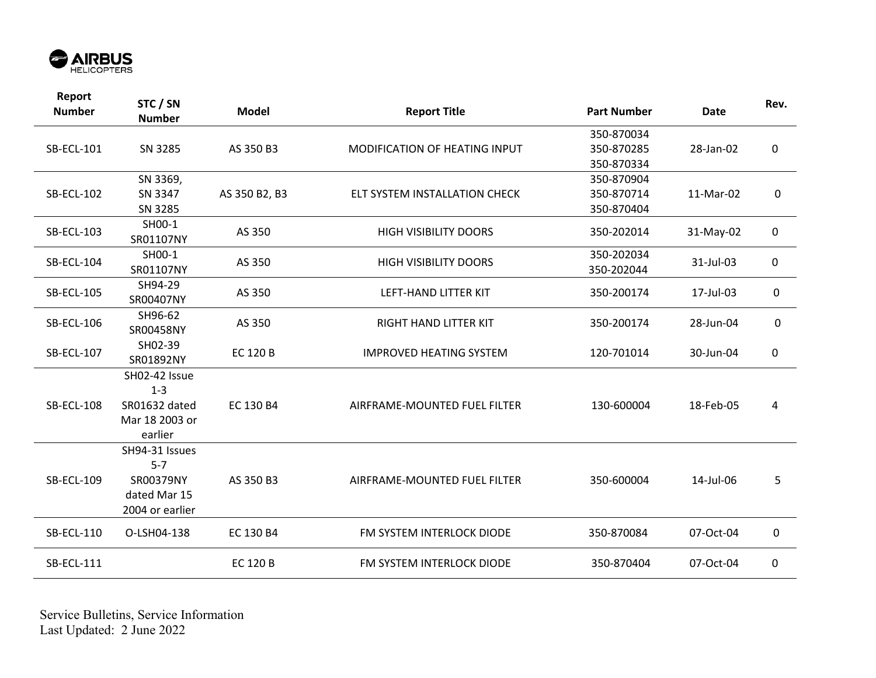

| Report<br><b>Number</b> | STC / SN<br><b>Number</b> | <b>Model</b>    | <b>Report Title</b>            | <b>Part Number</b> | <b>Date</b> | Rev. |
|-------------------------|---------------------------|-----------------|--------------------------------|--------------------|-------------|------|
|                         |                           |                 |                                | 350-870034         |             |      |
| <b>SB-ECL-101</b>       | SN 3285                   | AS 350 B3       | MODIFICATION OF HEATING INPUT  | 350-870285         | 28-Jan-02   | 0    |
|                         |                           |                 |                                | 350-870334         |             |      |
|                         | SN 3369,                  |                 |                                | 350-870904         |             |      |
| <b>SB-ECL-102</b>       | SN 3347                   | AS 350 B2, B3   | ELT SYSTEM INSTALLATION CHECK  | 350-870714         | 11-Mar-02   | 0    |
|                         | SN 3285                   |                 |                                | 350-870404         |             |      |
| <b>SB-ECL-103</b>       | SH00-1<br>SR01107NY       | AS 350          | <b>HIGH VISIBILITY DOORS</b>   | 350-202014         | 31-May-02   | 0    |
|                         | SH00-1                    |                 |                                | 350-202034         |             |      |
| <b>SB-ECL-104</b>       | SR01107NY                 | AS 350          | <b>HIGH VISIBILITY DOORS</b>   | 350-202044         | 31-Jul-03   | 0    |
|                         | SH94-29                   |                 |                                |                    |             |      |
| <b>SB-ECL-105</b>       | SR00407NY                 | AS 350          | LEFT-HAND LITTER KIT           | 350-200174         | 17-Jul-03   | 0    |
|                         | SH96-62                   |                 |                                |                    |             |      |
| <b>SB-ECL-106</b>       | SR00458NY                 | AS 350          | RIGHT HAND LITTER KIT          | 350-200174         | 28-Jun-04   | 0    |
| <b>SB-ECL-107</b>       | SH02-39                   | <b>EC 120 B</b> | <b>IMPROVED HEATING SYSTEM</b> | 120-701014         | 30-Jun-04   | 0    |
|                         | SR01892NY                 |                 |                                |                    |             |      |
|                         | SH02-42 Issue             |                 |                                |                    |             |      |
|                         | $1 - 3$                   |                 |                                |                    |             |      |
| <b>SB-ECL-108</b>       | SR01632 dated             | EC 130 B4       | AIRFRAME-MOUNTED FUEL FILTER   | 130-600004         | 18-Feb-05   | 4    |
|                         | Mar 18 2003 or            |                 |                                |                    |             |      |
|                         | earlier                   |                 |                                |                    |             |      |
|                         | SH94-31 Issues            |                 |                                |                    |             |      |
|                         | $5 - 7$                   |                 |                                |                    |             |      |
| <b>SB-ECL-109</b>       | SR00379NY                 | AS 350 B3       | AIRFRAME-MOUNTED FUEL FILTER   | 350-600004         | 14-Jul-06   | 5    |
|                         | dated Mar 15              |                 |                                |                    |             |      |
|                         | 2004 or earlier           |                 |                                |                    |             |      |
| <b>SB-ECL-110</b>       | O-LSH04-138               | EC 130 B4       | FM SYSTEM INTERLOCK DIODE      | 350-870084         | 07-Oct-04   | 0    |
| <b>SB-ECL-111</b>       |                           | <b>EC 120 B</b> | FM SYSTEM INTERLOCK DIODE      | 350-870404         | 07-Oct-04   | 0    |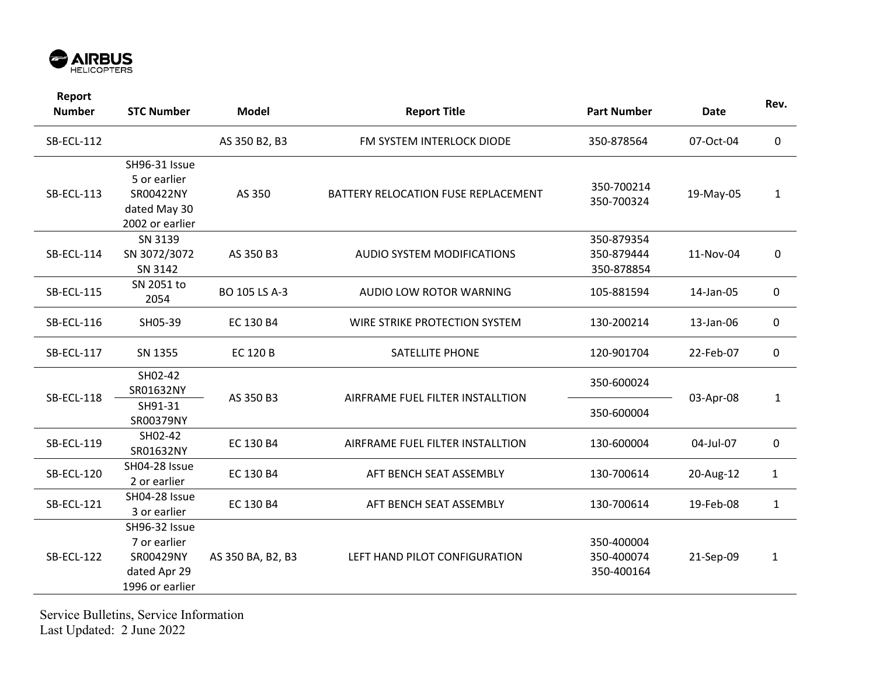

| Report<br><b>Number</b> | <b>STC Number</b>                                                             | <b>Model</b>      | <b>Report Title</b>                 | <b>Part Number</b>                     | <b>Date</b> | Rev.         |
|-------------------------|-------------------------------------------------------------------------------|-------------------|-------------------------------------|----------------------------------------|-------------|--------------|
| <b>SB-ECL-112</b>       |                                                                               | AS 350 B2, B3     | FM SYSTEM INTERLOCK DIODE           | 350-878564                             | 07-Oct-04   | 0            |
| SB-ECL-113              | SH96-31 Issue<br>5 or earlier<br>SR00422NY<br>dated May 30<br>2002 or earlier | AS 350            | BATTERY RELOCATION FUSE REPLACEMENT | 350-700214<br>350-700324               | 19-May-05   | $\mathbf{1}$ |
| <b>SB-ECL-114</b>       | SN 3139<br>SN 3072/3072<br>SN 3142                                            | AS 350 B3         | AUDIO SYSTEM MODIFICATIONS          | 350-879354<br>350-879444<br>350-878854 | 11-Nov-04   | 0            |
| <b>SB-ECL-115</b>       | SN 2051 to<br>2054                                                            | BO 105 LS A-3     | AUDIO LOW ROTOR WARNING             | 105-881594                             | 14-Jan-05   | $\mathbf 0$  |
| <b>SB-ECL-116</b>       | SH05-39                                                                       | EC 130 B4         | WIRE STRIKE PROTECTION SYSTEM       | 130-200214                             | 13-Jan-06   | 0            |
| <b>SB-ECL-117</b>       | SN 1355                                                                       | <b>EC 120 B</b>   | <b>SATELLITE PHONE</b>              | 120-901704                             | 22-Feb-07   | 0            |
| <b>SB-ECL-118</b>       | SH02-42<br>SR01632NY                                                          | AS 350 B3         | AIRFRAME FUEL FILTER INSTALLTION    | 350-600024                             | 03-Apr-08   | 1            |
|                         | SH91-31<br>SR00379NY                                                          |                   |                                     | 350-600004                             |             |              |
| <b>SB-ECL-119</b>       | SH02-42<br>SR01632NY                                                          | EC 130 B4         | AIRFRAME FUEL FILTER INSTALLTION    | 130-600004                             | 04-Jul-07   | $\pmb{0}$    |
| <b>SB-ECL-120</b>       | SH04-28 Issue<br>2 or earlier                                                 | EC 130 B4         | AFT BENCH SEAT ASSEMBLY             | 130-700614                             | 20-Aug-12   | $\mathbf{1}$ |
| <b>SB-ECL-121</b>       | SH04-28 Issue<br>3 or earlier                                                 | EC 130 B4         | AFT BENCH SEAT ASSEMBLY             | 130-700614                             | 19-Feb-08   | $\mathbf{1}$ |
| <b>SB-ECL-122</b>       | SH96-32 Issue<br>7 or earlier<br>SR00429NY<br>dated Apr 29<br>1996 or earlier | AS 350 BA, B2, B3 | LEFT HAND PILOT CONFIGURATION       | 350-400004<br>350-400074<br>350-400164 | 21-Sep-09   | $\mathbf{1}$ |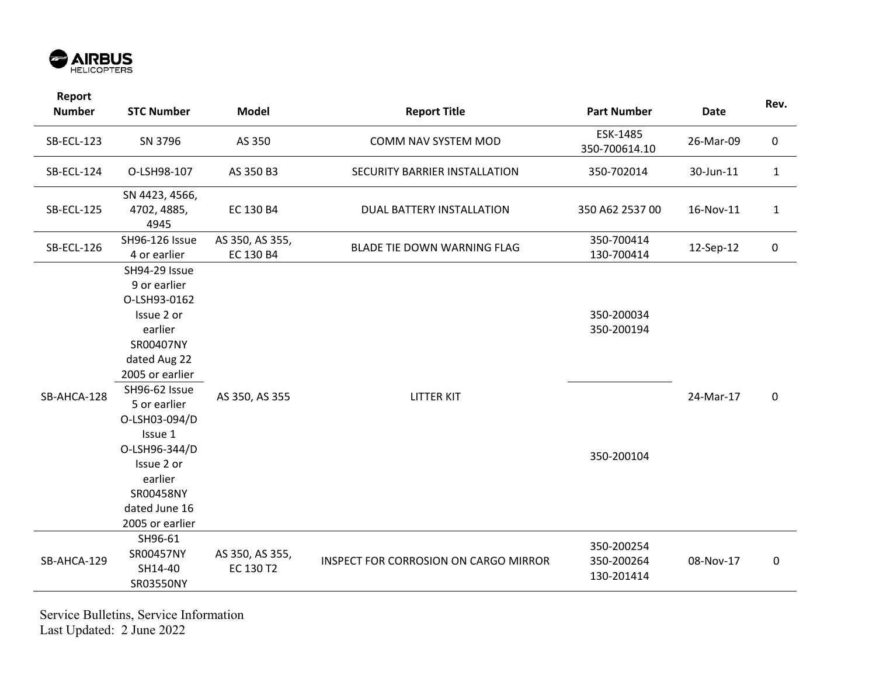

| Report<br><b>Number</b> | <b>STC Number</b>                                                                                                                                                                                                                                                              | <b>Model</b>                 | <b>Report Title</b>                   | <b>Part Number</b>                     | <b>Date</b> | Rev.         |
|-------------------------|--------------------------------------------------------------------------------------------------------------------------------------------------------------------------------------------------------------------------------------------------------------------------------|------------------------------|---------------------------------------|----------------------------------------|-------------|--------------|
| <b>SB-ECL-123</b>       | SN 3796                                                                                                                                                                                                                                                                        | AS 350                       | COMM NAV SYSTEM MOD                   | ESK-1485<br>350-700614.10              | 26-Mar-09   | $\mathbf 0$  |
| <b>SB-ECL-124</b>       | O-LSH98-107                                                                                                                                                                                                                                                                    | AS 350 B3                    | SECURITY BARRIER INSTALLATION         | 350-702014                             | 30-Jun-11   | $\mathbf{1}$ |
| <b>SB-ECL-125</b>       | SN 4423, 4566,<br>4702, 4885,<br>4945                                                                                                                                                                                                                                          | EC 130 B4                    | DUAL BATTERY INSTALLATION             | 350 A62 2537 00                        | 16-Nov-11   | $\mathbf{1}$ |
| <b>SB-ECL-126</b>       | SH96-126 Issue<br>4 or earlier                                                                                                                                                                                                                                                 | AS 350, AS 355,<br>EC 130 B4 | BLADE TIE DOWN WARNING FLAG           | 350-700414<br>130-700414               | 12-Sep-12   | $\pmb{0}$    |
| SB-AHCA-128             | SH94-29 Issue<br>9 or earlier<br>O-LSH93-0162<br>Issue 2 or<br>earlier<br>SR00407NY<br>dated Aug 22<br>2005 or earlier<br>SH96-62 Issue<br>5 or earlier<br>O-LSH03-094/D<br>Issue 1<br>O-LSH96-344/D<br>Issue 2 or<br>earlier<br>SR00458NY<br>dated June 16<br>2005 or earlier | AS 350, AS 355               | <b>LITTER KIT</b>                     | 350-200034<br>350-200194<br>350-200104 | 24-Mar-17   | $\mathbf 0$  |
| SB-AHCA-129             | SH96-61<br>SR00457NY<br>SH14-40<br>SR03550NY                                                                                                                                                                                                                                   | AS 350, AS 355,<br>EC 130 T2 | INSPECT FOR CORROSION ON CARGO MIRROR | 350-200254<br>350-200264<br>130-201414 | 08-Nov-17   | $\pmb{0}$    |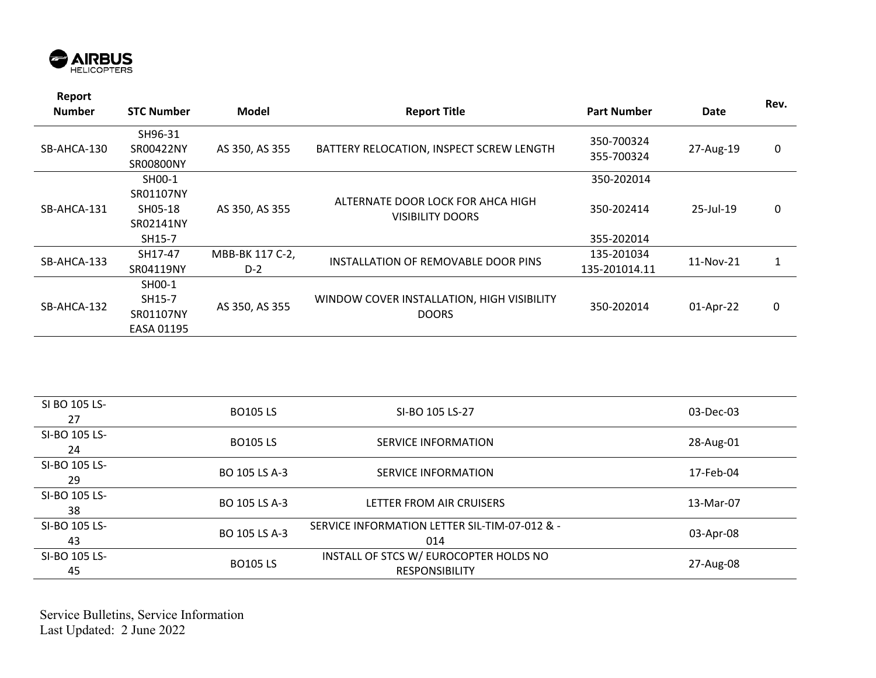

| Report<br><b>Number</b> | <b>STC Number</b>                        | Model           | <b>Report Title</b>                                          | <b>Part Number</b>       | Date         | Rev. |
|-------------------------|------------------------------------------|-----------------|--------------------------------------------------------------|--------------------------|--------------|------|
| SB-AHCA-130             | SH96-31<br>SR00422NY<br><b>SR00800NY</b> | AS 350, AS 355  | BATTERY RELOCATION, INSPECT SCREW LENGTH                     | 350-700324<br>355-700324 | 27-Aug-19    | 0    |
|                         | SH00-1                                   |                 |                                                              | 350-202014               |              |      |
| SB-AHCA-131             | SR01107NY<br>SH05-18<br>SR02141NY        | AS 350, AS 355  | ALTERNATE DOOR LOCK FOR AHCA HIGH<br><b>VISIBILITY DOORS</b> | 350-202414               | $25$ -Jul-19 | 0    |
|                         | SH15-7                                   |                 |                                                              | 355-202014               |              |      |
|                         | SH17-47                                  | MBB-BK 117 C-2, |                                                              | 135-201034               |              | 1    |
| SB-AHCA-133             | SR04119NY                                | $D-2$           | INSTALLATION OF REMOVABLE DOOR PINS                          | 135-201014.11            | 11-Nov-21    |      |
|                         | SH00-1                                   |                 |                                                              |                          |              |      |
| SB-AHCA-132             | SH15-7                                   | AS 350, AS 355  | WINDOW COVER INSTALLATION, HIGH VISIBILITY                   | 350-202014               | 01-Apr-22    | 0    |
|                         | SR01107NY                                |                 | <b>DOORS</b>                                                 |                          |              |      |
|                         | EASA 01195                               |                 |                                                              |                          |              |      |

| SI BO 105 LS-<br>27 | <b>BO105 LS</b> | SI-BO 105 LS-27                                                 | 03-Dec-03 |
|---------------------|-----------------|-----------------------------------------------------------------|-----------|
| SI-BO 105 LS-<br>24 | <b>BO105LS</b>  | SERVICE INFORMATION                                             | 28-Aug-01 |
| SI-BO 105 LS-<br>29 | BO 105 LS A-3   | SERVICE INFORMATION                                             | 17-Feb-04 |
| SI-BO 105 LS-<br>38 | BO 105 LS A-3   | LETTER FROM AIR CRUISERS                                        | 13-Mar-07 |
| SI-BO 105 LS-<br>43 | BO 105 LS A-3   | SERVICE INFORMATION LETTER SIL-TIM-07-012 & -<br>014            | 03-Apr-08 |
| SI-BO 105 LS-<br>45 | <b>BO105 LS</b> | INSTALL OF STCS W/ EUROCOPTER HOLDS NO<br><b>RESPONSIBILITY</b> | 27-Aug-08 |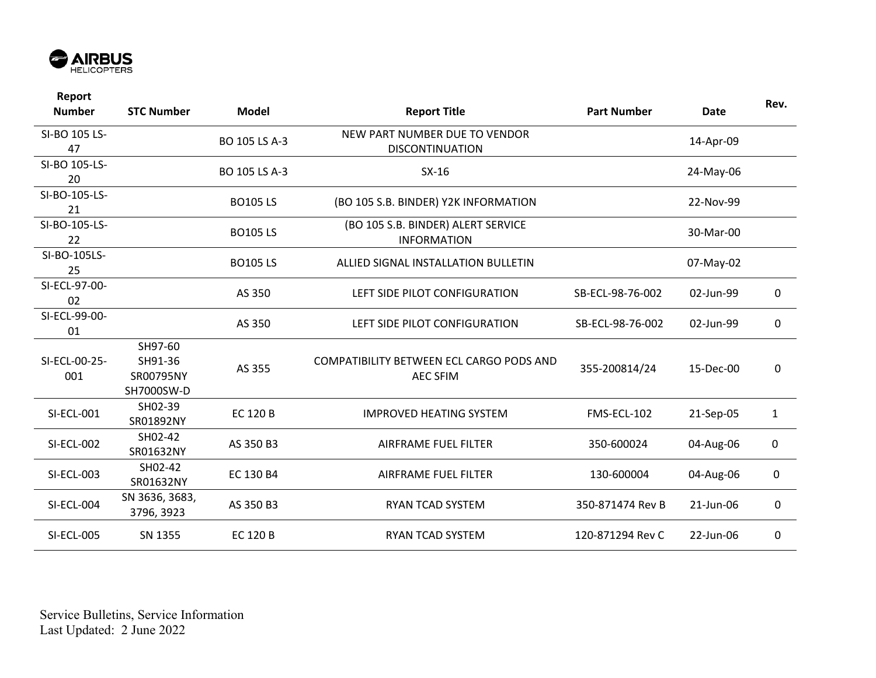

| Report<br><b>Number</b> | <b>STC Number</b>                             | <b>Model</b>    | <b>Report Title</b>                                         | <b>Part Number</b> | <b>Date</b> | Rev.         |
|-------------------------|-----------------------------------------------|-----------------|-------------------------------------------------------------|--------------------|-------------|--------------|
| SI-BO 105 LS-<br>47     |                                               | BO 105 LS A-3   | NEW PART NUMBER DUE TO VENDOR<br><b>DISCONTINUATION</b>     |                    | 14-Apr-09   |              |
| SI-BO 105-LS-<br>20     |                                               | BO 105 LS A-3   | $SX-16$                                                     |                    | 24-May-06   |              |
| SI-BO-105-LS-<br>21     |                                               | <b>BO105LS</b>  | (BO 105 S.B. BINDER) Y2K INFORMATION                        |                    | 22-Nov-99   |              |
| SI-BO-105-LS-<br>22     |                                               | <b>BO105LS</b>  | (BO 105 S.B. BINDER) ALERT SERVICE<br><b>INFORMATION</b>    |                    | 30-Mar-00   |              |
| SI-BO-105LS-<br>25      |                                               | <b>BO105LS</b>  | ALLIED SIGNAL INSTALLATION BULLETIN                         |                    | 07-May-02   |              |
| SI-ECL-97-00-<br>02     |                                               | AS 350          | LEFT SIDE PILOT CONFIGURATION                               | SB-ECL-98-76-002   | 02-Jun-99   | 0            |
| SI-ECL-99-00-<br>01     |                                               | AS 350          | LEFT SIDE PILOT CONFIGURATION                               | SB-ECL-98-76-002   | 02-Jun-99   | 0            |
| SI-ECL-00-25-<br>001    | SH97-60<br>SH91-36<br>SR00795NY<br>SH7000SW-D | AS 355          | COMPATIBILITY BETWEEN ECL CARGO PODS AND<br><b>AEC SFIM</b> | 355-200814/24      | 15-Dec-00   | 0            |
| <b>SI-ECL-001</b>       | SH02-39<br>SR01892NY                          | <b>EC 120 B</b> | <b>IMPROVED HEATING SYSTEM</b>                              | FMS-ECL-102        | 21-Sep-05   | $\mathbf{1}$ |
| SI-ECL-002              | SH02-42<br>SR01632NY                          | AS 350 B3       | AIRFRAME FUEL FILTER                                        | 350-600024         | 04-Aug-06   | 0            |
| SI-ECL-003              | SH02-42<br>SR01632NY                          | EC 130 B4       | <b>AIRFRAME FUEL FILTER</b>                                 | 130-600004         | 04-Aug-06   | 0            |
| SI-ECL-004              | SN 3636, 3683,<br>3796, 3923                  | AS 350 B3       | <b>RYAN TCAD SYSTEM</b>                                     | 350-871474 Rev B   | 21-Jun-06   | 0            |
| <b>SI-ECL-005</b>       | SN 1355                                       | <b>EC 120 B</b> | RYAN TCAD SYSTEM                                            | 120-871294 Rev C   | 22-Jun-06   | 0            |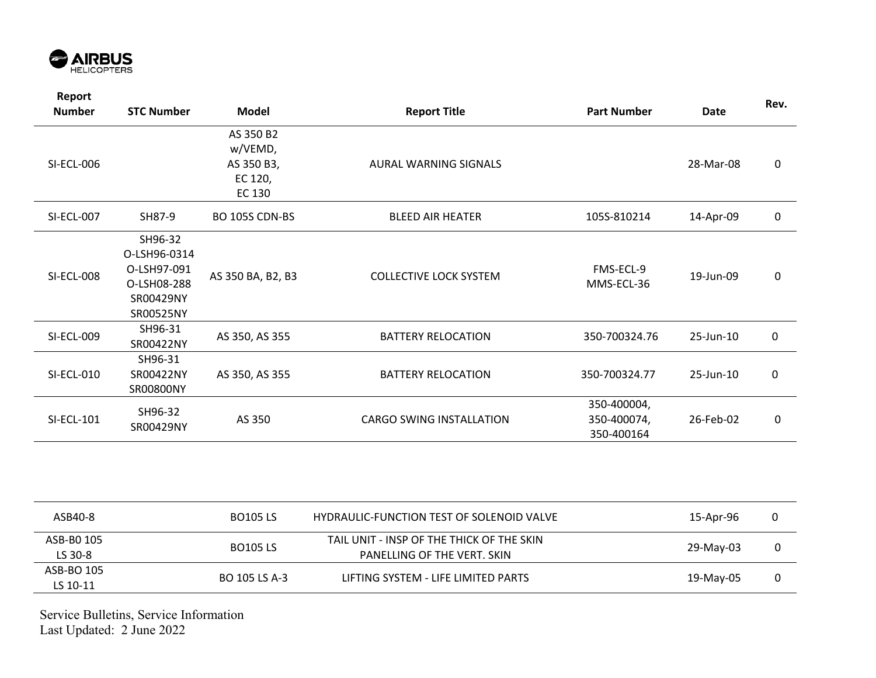

| Report<br><b>Number</b> | <b>STC Number</b>                                                               | <b>Model</b>                                            | <b>Report Title</b>           | <b>Part Number</b>                       | <b>Date</b> | Rev.        |
|-------------------------|---------------------------------------------------------------------------------|---------------------------------------------------------|-------------------------------|------------------------------------------|-------------|-------------|
| <b>SI-ECL-006</b>       |                                                                                 | AS 350 B2<br>w/VEMD,<br>AS 350 B3,<br>EC 120,<br>EC 130 | AURAL WARNING SIGNALS         |                                          | 28-Mar-08   | 0           |
| <b>SI-ECL-007</b>       | SH87-9                                                                          | BO 105S CDN-BS                                          | <b>BLEED AIR HEATER</b>       | 105S-810214                              | 14-Apr-09   | $\mathbf 0$ |
| <b>SI-ECL-008</b>       | SH96-32<br>O-LSH96-0314<br>O-LSH97-091<br>O-LSH08-288<br>SR00429NY<br>SR00525NY | AS 350 BA, B2, B3                                       | <b>COLLECTIVE LOCK SYSTEM</b> | FMS-ECL-9<br>MMS-ECL-36                  | 19-Jun-09   | 0           |
| <b>SI-ECL-009</b>       | SH96-31<br>SR00422NY                                                            | AS 350, AS 355                                          | <b>BATTERY RELOCATION</b>     | 350-700324.76                            | 25-Jun-10   | $\pmb{0}$   |
| SI-ECL-010              | SH96-31<br>SR00422NY<br>SR00800NY                                               | AS 350, AS 355                                          | <b>BATTERY RELOCATION</b>     | 350-700324.77                            | 25-Jun-10   | $\pmb{0}$   |
| <b>SI-ECL-101</b>       | SH96-32<br>SR00429NY                                                            | AS 350                                                  | CARGO SWING INSTALLATION      | 350-400004,<br>350-400074,<br>350-400164 | 26-Feb-02   | 0           |

| ASB40-8                | <b>BO105 LS</b> | HYDRAULIC-FUNCTION TEST OF SOLENOID VALVE                                | 15-Apr-96 |  |
|------------------------|-----------------|--------------------------------------------------------------------------|-----------|--|
| ASB-B0 105<br>LS 30-8  | <b>BO105 LS</b> | TAIL UNIT - INSP OF THE THICK OF THE SKIN<br>PANELLING OF THE VERT. SKIN | 29-May-03 |  |
| ASB-BO 105<br>LS 10-11 | BO 105 LS A-3   | LIFTING SYSTEM - LIFE LIMITED PARTS                                      | 19-May-05 |  |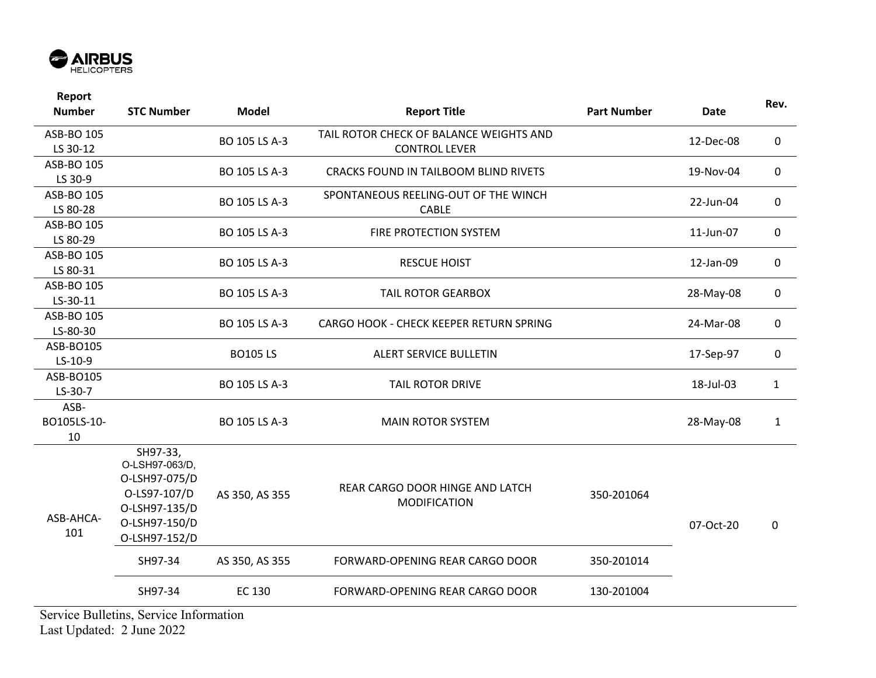

| Report<br><b>Number</b>   | <b>STC Number</b>                                                                                              | <b>Model</b>   | <b>Report Title</b>                                             | <b>Part Number</b> | <b>Date</b> | Rev.         |
|---------------------------|----------------------------------------------------------------------------------------------------------------|----------------|-----------------------------------------------------------------|--------------------|-------------|--------------|
| ASB-BO 105<br>LS 30-12    |                                                                                                                | BO 105 LS A-3  | TAIL ROTOR CHECK OF BALANCE WEIGHTS AND<br><b>CONTROL LEVER</b> |                    | 12-Dec-08   | 0            |
| ASB-BO 105<br>LS 30-9     |                                                                                                                | BO 105 LS A-3  | <b>CRACKS FOUND IN TAILBOOM BLIND RIVETS</b>                    |                    | 19-Nov-04   | 0            |
| ASB-BO 105<br>LS 80-28    |                                                                                                                | BO 105 LS A-3  | SPONTANEOUS REELING-OUT OF THE WINCH<br><b>CABLE</b>            |                    | 22-Jun-04   | 0            |
| ASB-BO 105<br>LS 80-29    |                                                                                                                | BO 105 LS A-3  | FIRE PROTECTION SYSTEM                                          |                    | 11-Jun-07   | 0            |
| ASB-BO 105<br>LS 80-31    |                                                                                                                | BO 105 LS A-3  | <b>RESCUE HOIST</b>                                             |                    | 12-Jan-09   | 0            |
| ASB-BO 105<br>LS-30-11    |                                                                                                                | BO 105 LS A-3  | <b>TAIL ROTOR GEARBOX</b>                                       |                    | 28-May-08   | 0            |
| ASB-BO 105<br>LS-80-30    |                                                                                                                | BO 105 LS A-3  | CARGO HOOK - CHECK KEEPER RETURN SPRING                         |                    | 24-Mar-08   | 0            |
| ASB-BO105<br>$LS-10-9$    |                                                                                                                | <b>BO105LS</b> | ALERT SERVICE BULLETIN                                          |                    | 17-Sep-97   | 0            |
| ASB-BO105<br>LS-30-7      |                                                                                                                | BO 105 LS A-3  | <b>TAIL ROTOR DRIVE</b>                                         |                    | 18-Jul-03   | $\mathbf{1}$ |
| ASB-<br>BO105LS-10-<br>10 |                                                                                                                | BO 105 LS A-3  | <b>MAIN ROTOR SYSTEM</b>                                        |                    | 28-May-08   | $\mathbf{1}$ |
| ASB-AHCA-<br>101          | SH97-33,<br>O-LSH97-063/D,<br>O-LSH97-075/D<br>O-LS97-107/D<br>O-LSH97-135/D<br>O-LSH97-150/D<br>O-LSH97-152/D | AS 350, AS 355 | REAR CARGO DOOR HINGE AND LATCH<br><b>MODIFICATION</b>          | 350-201064         | 07-Oct-20   | 0            |
|                           | SH97-34                                                                                                        | AS 350, AS 355 | FORWARD-OPENING REAR CARGO DOOR                                 | 350-201014         |             |              |
|                           | SH97-34                                                                                                        | EC 130         | FORWARD-OPENING REAR CARGO DOOR                                 | 130-201004         |             |              |
|                           | Service Dullating Service Information                                                                          |                |                                                                 |                    |             |              |